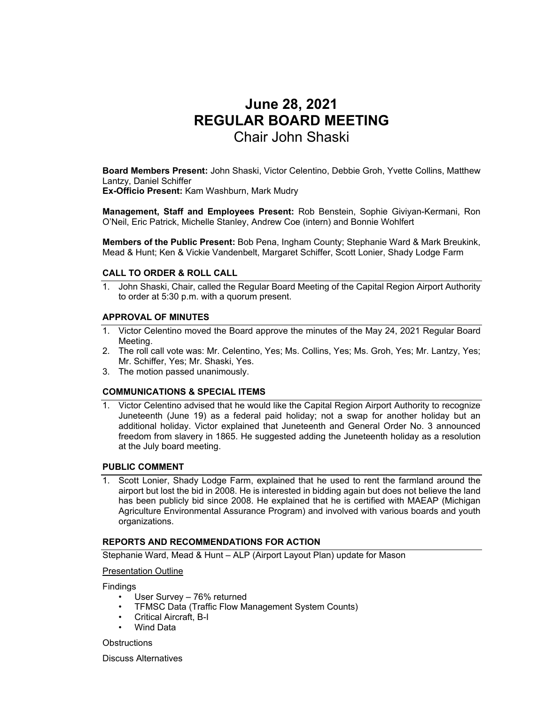# **June 28, 2021 REGULAR BOARD MEETING**  Chair John Shaski

**Board Members Present:** John Shaski, Victor Celentino, Debbie Groh, Yvette Collins, Matthew Lantzy, Daniel Schiffer

**Ex-Officio Present:** Kam Washburn, Mark Mudry

**Management, Staff and Employees Present:** Rob Benstein, Sophie Giviyan-Kermani, Ron O'Neil, Eric Patrick, Michelle Stanley, Andrew Coe (intern) and Bonnie Wohlfert

**Members of the Public Present:** Bob Pena, Ingham County; Stephanie Ward & Mark Breukink, Mead & Hunt; Ken & Vickie Vandenbelt, Margaret Schiffer, Scott Lonier, Shady Lodge Farm

# **CALL TO ORDER & ROLL CALL**

1. John Shaski, Chair, called the Regular Board Meeting of the Capital Region Airport Authority to order at 5:30 p.m. with a quorum present.

# **APPROVAL OF MINUTES**

- 1. Victor Celentino moved the Board approve the minutes of the May 24, 2021 Regular Board Meeting.
- 2. The roll call vote was: Mr. Celentino, Yes; Ms. Collins, Yes; Ms. Groh, Yes; Mr. Lantzy, Yes; Mr. Schiffer, Yes; Mr. Shaski, Yes.
- 3. The motion passed unanimously.

## **COMMUNICATIONS & SPECIAL ITEMS**

1. Victor Celentino advised that he would like the Capital Region Airport Authority to recognize Juneteenth (June 19) as a federal paid holiday; not a swap for another holiday but an additional holiday. Victor explained that Juneteenth and General Order No. 3 announced freedom from slavery in 1865. He suggested adding the Juneteenth holiday as a resolution at the July board meeting.

## **PUBLIC COMMENT**

1. Scott Lonier, Shady Lodge Farm, explained that he used to rent the farmland around the airport but lost the bid in 2008. He is interested in bidding again but does not believe the land has been publicly bid since 2008. He explained that he is certified with MAEAP (Michigan Agriculture Environmental Assurance Program) and involved with various boards and youth organizations.

## **REPORTS AND RECOMMENDATIONS FOR ACTION**

Stephanie Ward, Mead & Hunt – ALP (Airport Layout Plan) update for Mason

Presentation Outline

Findings

- User Survey 76% returned
- TFMSC Data (Traffic Flow Management System Counts)
- Critical Aircraft, B-I
- Wind Data

**Obstructions** 

Discuss Alternatives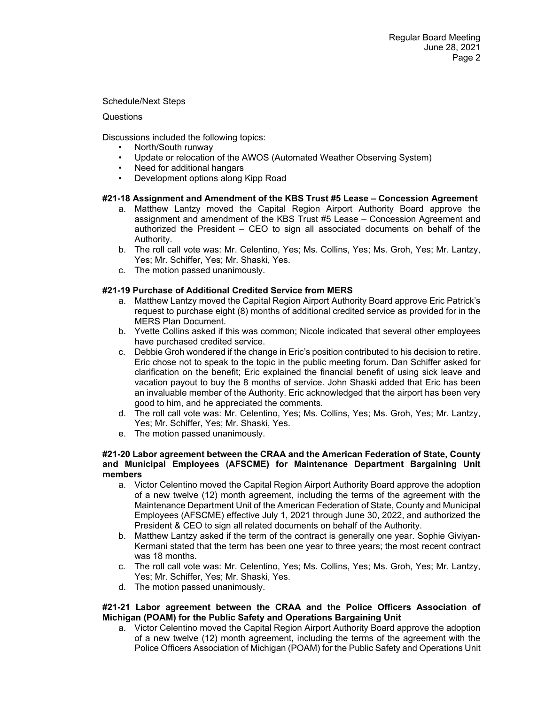Schedule/Next Steps

#### **Questions**

Discussions included the following topics:

- North/South runway
- Update or relocation of the AWOS (Automated Weather Observing System)
- Need for additional hangars
- Development options along Kipp Road

# **#21-18 Assignment and Amendment of the KBS Trust #5 Lease – Concession Agreement**

- a. Matthew Lantzy moved the Capital Region Airport Authority Board approve the assignment and amendment of the KBS Trust #5 Lease – Concession Agreement and authorized the President – CEO to sign all associated documents on behalf of the Authority.
- b. The roll call vote was: Mr. Celentino, Yes; Ms. Collins, Yes; Ms. Groh, Yes; Mr. Lantzy, Yes; Mr. Schiffer, Yes; Mr. Shaski, Yes.
- c. The motion passed unanimously.

# **#21-19 Purchase of Additional Credited Service from MERS**

- a. Matthew Lantzy moved the Capital Region Airport Authority Board approve Eric Patrick's request to purchase eight (8) months of additional credited service as provided for in the MERS Plan Document.
- b. Yvette Collins asked if this was common; Nicole indicated that several other employees have purchased credited service.
- c. Debbie Groh wondered if the change in Eric's position contributed to his decision to retire. Eric chose not to speak to the topic in the public meeting forum. Dan Schiffer asked for clarification on the benefit; Eric explained the financial benefit of using sick leave and vacation payout to buy the 8 months of service. John Shaski added that Eric has been an invaluable member of the Authority. Eric acknowledged that the airport has been very good to him, and he appreciated the comments.
- d. The roll call vote was: Mr. Celentino, Yes; Ms. Collins, Yes; Ms. Groh, Yes; Mr. Lantzy, Yes; Mr. Schiffer, Yes; Mr. Shaski, Yes.
- e. The motion passed unanimously.

#### **#21-20 Labor agreement between the CRAA and the American Federation of State, County and Municipal Employees (AFSCME) for Maintenance Department Bargaining Unit members**

- a. Victor Celentino moved the Capital Region Airport Authority Board approve the adoption of a new twelve (12) month agreement, including the terms of the agreement with the Maintenance Department Unit of the American Federation of State, County and Municipal Employees (AFSCME) effective July 1, 2021 through June 30, 2022, and authorized the President & CEO to sign all related documents on behalf of the Authority.
- b. Matthew Lantzy asked if the term of the contract is generally one year. Sophie Giviyan-Kermani stated that the term has been one year to three years; the most recent contract was 18 months.
- c. The roll call vote was: Mr. Celentino, Yes; Ms. Collins, Yes; Ms. Groh, Yes; Mr. Lantzy, Yes; Mr. Schiffer, Yes; Mr. Shaski, Yes.
- d. The motion passed unanimously.

# **#21-21 Labor agreement between the CRAA and the Police Officers Association of Michigan (POAM) for the Public Safety and Operations Bargaining Unit**

a. Victor Celentino moved the Capital Region Airport Authority Board approve the adoption of a new twelve (12) month agreement, including the terms of the agreement with the Police Officers Association of Michigan (POAM) for the Public Safety and Operations Unit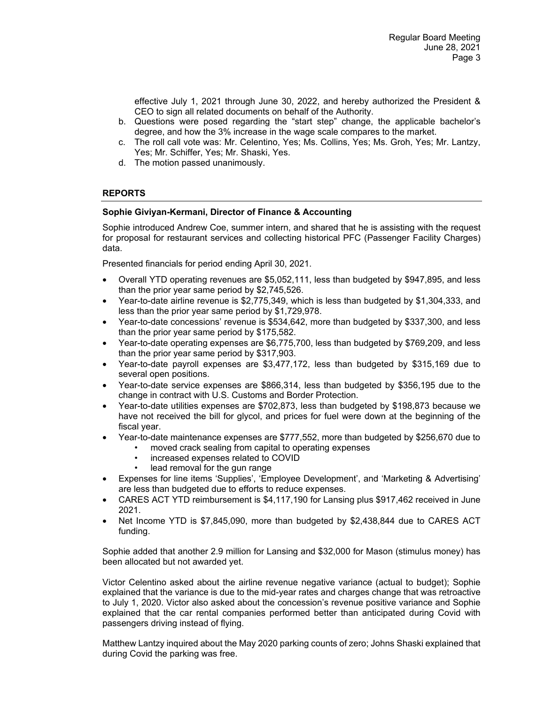effective July 1, 2021 through June 30, 2022, and hereby authorized the President & CEO to sign all related documents on behalf of the Authority.

- b. Questions were posed regarding the "start step" change, the applicable bachelor's degree, and how the 3% increase in the wage scale compares to the market.
- c. The roll call vote was: Mr. Celentino, Yes; Ms. Collins, Yes; Ms. Groh, Yes; Mr. Lantzy, Yes; Mr. Schiffer, Yes; Mr. Shaski, Yes.
- d. The motion passed unanimously.

# **REPORTS**

# **Sophie Giviyan-Kermani, Director of Finance & Accounting**

Sophie introduced Andrew Coe, summer intern, and shared that he is assisting with the request for proposal for restaurant services and collecting historical PFC (Passenger Facility Charges) data.

Presented financials for period ending April 30, 2021.

- Overall YTD operating revenues are \$5,052,111, less than budgeted by \$947,895, and less than the prior year same period by \$2,745,526.
- Year-to-date airline revenue is \$2,775,349, which is less than budgeted by \$1,304,333, and less than the prior year same period by \$1,729,978.
- Year-to-date concessions' revenue is \$534,642, more than budgeted by \$337,300, and less than the prior year same period by \$175,582.
- Year-to-date operating expenses are \$6,775,700, less than budgeted by \$769,209, and less than the prior year same period by \$317,903.
- Year-to-date payroll expenses are \$3,477,172, less than budgeted by \$315,169 due to several open positions.
- Year-to-date service expenses are \$866,314, less than budgeted by \$356,195 due to the change in contract with U.S. Customs and Border Protection.
- Year-to-date utilities expenses are \$702,873, less than budgeted by \$198,873 because we have not received the bill for glycol, and prices for fuel were down at the beginning of the fiscal year.
- Year-to-date maintenance expenses are \$777,552, more than budgeted by \$256,670 due to
	- moved crack sealing from capital to operating expenses
		- increased expenses related to COVID
		- lead removal for the gun range
- Expenses for line items 'Supplies', 'Employee Development', and 'Marketing & Advertising' are less than budgeted due to efforts to reduce expenses.
- CARES ACT YTD reimbursement is \$4,117,190 for Lansing plus \$917,462 received in June 2021.
- Net Income YTD is \$7,845,090, more than budgeted by \$2,438,844 due to CARES ACT funding.

Sophie added that another 2.9 million for Lansing and \$32,000 for Mason (stimulus money) has been allocated but not awarded yet.

Victor Celentino asked about the airline revenue negative variance (actual to budget); Sophie explained that the variance is due to the mid-year rates and charges change that was retroactive to July 1, 2020. Victor also asked about the concession's revenue positive variance and Sophie explained that the car rental companies performed better than anticipated during Covid with passengers driving instead of flying.

Matthew Lantzy inquired about the May 2020 parking counts of zero; Johns Shaski explained that during Covid the parking was free.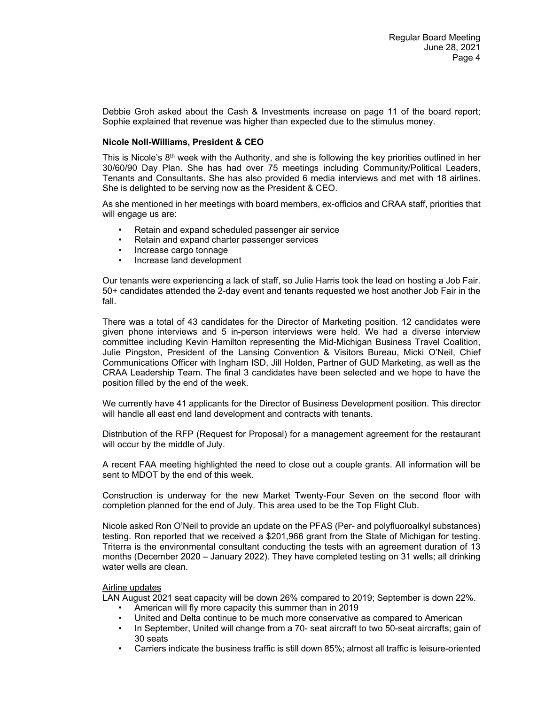Debbie Groh asked about the Cash & Investments increase on page 11 of the board report; Sophie explained that revenue was higher than expected due to the stimulus money.

## **Nicole Noll-Williams, President & CEO**

This is Nicole's  $8<sup>th</sup>$  week with the Authority, and she is following the key priorities outlined in her 30/60/90 Day Plan. She has had over 75 meetings including Community/Political Leaders, Tenants and Consultants. She has also provided 6 media interviews and met with 18 airlines. She is delighted to be serving now as the President & CEO.

As she mentioned in her meetings with board members, ex-officios and CRAA staff, priorities that will engage us are:

- Retain and expand scheduled passenger air service
- Retain and expand charter passenger services
- Increase cargo tonnage
- Increase land development

Our tenants were experiencing a lack of staff, so Julie Harris took the lead on hosting a Job Fair. 50+ candidates attended the 2-day event and tenants requested we host another Job Fair in the fall.

There was a total of 43 candidates for the Director of Marketing position. 12 candidates were given phone interviews and 5 in-person interviews were held. We had a diverse interview committee including Kevin Hamilton representing the Mid-Michigan Business Travel Coalition, Julie Pingston, President of the Lansing Convention & Visitors Bureau, Micki O'Neil, Chief Communications Officer with Ingham ISD, Jill Holden, Partner of GUD Marketing, as well as the CRAA Leadership Team. The final 3 candidates have been selected and we hope to have the position filled by the end of the week.

We currently have 41 applicants for the Director of Business Development position. This director will handle all east end land development and contracts with tenants.

Distribution of the RFP (Request for Proposal) for a management agreement for the restaurant will occur by the middle of July.

A recent FAA meeting highlighted the need to close out a couple grants. All information will be sent to MDOT by the end of this week.

Construction is underway for the new Market Twenty-Four Seven on the second floor with completion planned for the end of July. This area used to be the Top Flight Club.

Nicole asked Ron O'Neil to provide an update on the PFAS (Per- and polyfluoroalkyl substances) testing. Ron reported that we received a \$201,966 grant from the State of Michigan for testing. Triterra is the environmental consultant conducting the tests with an agreement duration of 13 months (December 2020 – January 2022). They have completed testing on 31 wells; all drinking water wells are clean.

# Airline updates

LAN August 2021 seat capacity will be down 26% compared to 2019; September is down 22%.

- American will fly more capacity this summer than in 2019
- United and Delta continue to be much more conservative as compared to American
- In September, United will change from a 70- seat aircraft to two 50-seat aircrafts; gain of 30 seats
- Carriers indicate the business traffic is still down 85%; almost all traffic is leisure-oriented